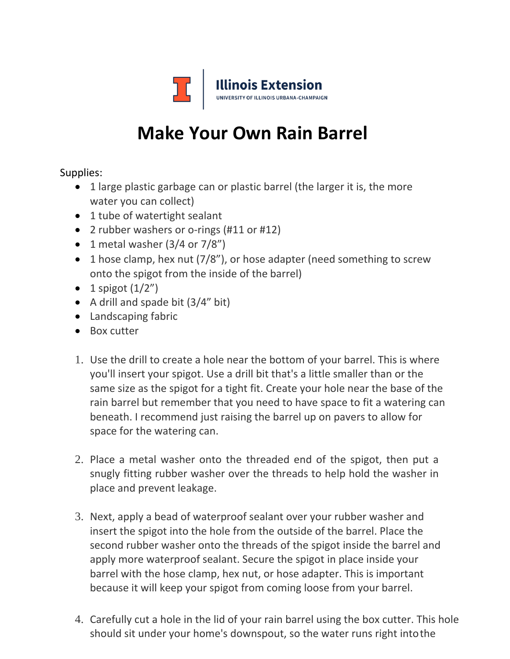

## **Make Your Own Rain Barrel**

Supplies:

- 1 large plastic garbage can or plastic barrel (the larger it is, the more water you can collect)
- 1 tube of watertight sealant
- 2 rubber washers or o-rings (#11 or #12)
- 1 metal washer  $(3/4$  or  $7/8"$ )
- 1 hose clamp, hex nut (7/8"), or hose adapter (need something to screw onto the spigot from the inside of the barrel)
- $\bullet$  1 spigot  $(1/2'')$
- A drill and spade bit (3/4" bit)
- Landscaping fabric
- Box cutter
- 1. Use the drill to create a hole near the bottom of your barrel. This is where you'll insert your spigot. Use a drill bit that's a little smaller than or the same size as the spigot for a tight fit. Create your hole near the base of the rain barrel but remember that you need to have space to fit a watering can beneath. I recommend just raising the barrel up on pavers to allow for space for the watering can.
- 2. Place a metal washer onto the threaded end of the spigot, then put a snugly fitting rubber washer over the threads to help hold the washer in place and prevent leakage.
- 3. Next, apply a bead of waterproof sealant over your rubber washer and insert the spigot into the hole from the outside of the barrel. Place the second rubber washer onto the threads of the spigot inside the barrel and apply more waterproof sealant. Secure the spigot in place inside your barrel with the hose clamp, hex nut, or hose adapter. This is important because it will keep your spigot from coming loose from your barrel.
- 4. Carefully cut a hole in the lid of your rain barrel using the box cutter. This hole should sit under your home's downspout, so the water runs right intothe